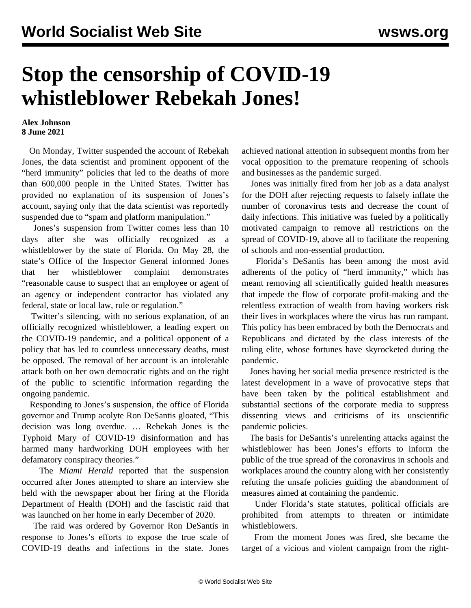## **Stop the censorship of COVID-19 whistleblower Rebekah Jones!**

## **Alex Johnson 8 June 2021**

 On Monday, Twitter suspended the account of Rebekah Jones, the data scientist and prominent opponent of the "herd immunity" policies that led to the deaths of more than 600,000 people in the United States. Twitter has provided no explanation of its suspension of Jones's account, saying only that the data scientist was reportedly suspended due to "spam and platform manipulation."

 Jones's suspension from Twitter comes less than 10 days after she was officially recognized as a whistleblower by the state of Florida. On May 28, the state's Office of the Inspector General informed Jones that her whistleblower complaint demonstrates "reasonable cause to suspect that an employee or agent of an agency or independent contractor has violated any federal, state or local law, rule or regulation."

 Twitter's silencing, with no serious explanation, of an officially recognized whistleblower, a leading expert on the COVID-19 pandemic, and a political opponent of a policy that has led to countless unnecessary deaths, must be opposed. The removal of her account is an intolerable attack both on her own democratic rights and on the right of the public to scientific information regarding the ongoing pandemic.

 Responding to Jones's suspension, the office of Florida governor and Trump acolyte Ron DeSantis gloated, "This decision was long overdue. … Rebekah Jones is the Typhoid Mary of COVID-19 disinformation and has harmed many hardworking DOH employees with her defamatory conspiracy theories."

 The *Miami Herald* reported that the suspension occurred after Jones attempted to share an interview she held with the newspaper about her firing at the Florida Department of Health (DOH) and the fascistic raid that was launched on her home in early December of 2020.

 The raid was ordered by Governor Ron DeSantis in response to Jones's efforts to expose the true scale of COVID-19 deaths and infections in the state. Jones

achieved national attention in subsequent months from her vocal opposition to the premature reopening of schools and businesses as the pandemic surged.

 Jones was initially fired from her job as a data analyst for the DOH after rejecting requests to falsely inflate the number of coronavirus tests and decrease the count of daily infections. This initiative was fueled by a politically motivated campaign to remove all restrictions on the spread of COVID-19, above all to facilitate the reopening of schools and non-essential production.

 Florida's DeSantis has been among the most avid adherents of the policy of "herd immunity," which has meant removing all scientifically guided health measures that impede the flow of corporate profit-making and the relentless extraction of wealth from having workers risk their lives in workplaces where the virus has run rampant. This policy has been embraced by both the Democrats and Republicans and dictated by the class interests of the ruling elite, whose fortunes have skyrocketed during the pandemic.

 Jones having her social media presence restricted is the latest development in a wave of provocative steps that have been taken by the political establishment and substantial sections of the corporate media to suppress dissenting views and criticisms of its unscientific pandemic policies.

 The basis for DeSantis's unrelenting attacks against the whistleblower has been Jones's efforts to inform the public of the true spread of the coronavirus in schools and workplaces around the country along with her consistently refuting the unsafe policies guiding the abandonment of measures aimed at containing the pandemic.

 Under Florida's state statutes, political officials are prohibited from attempts to threaten or intimidate whistleblowers.

 From the moment Jones was fired, she became the target of a vicious and violent campaign from the right-